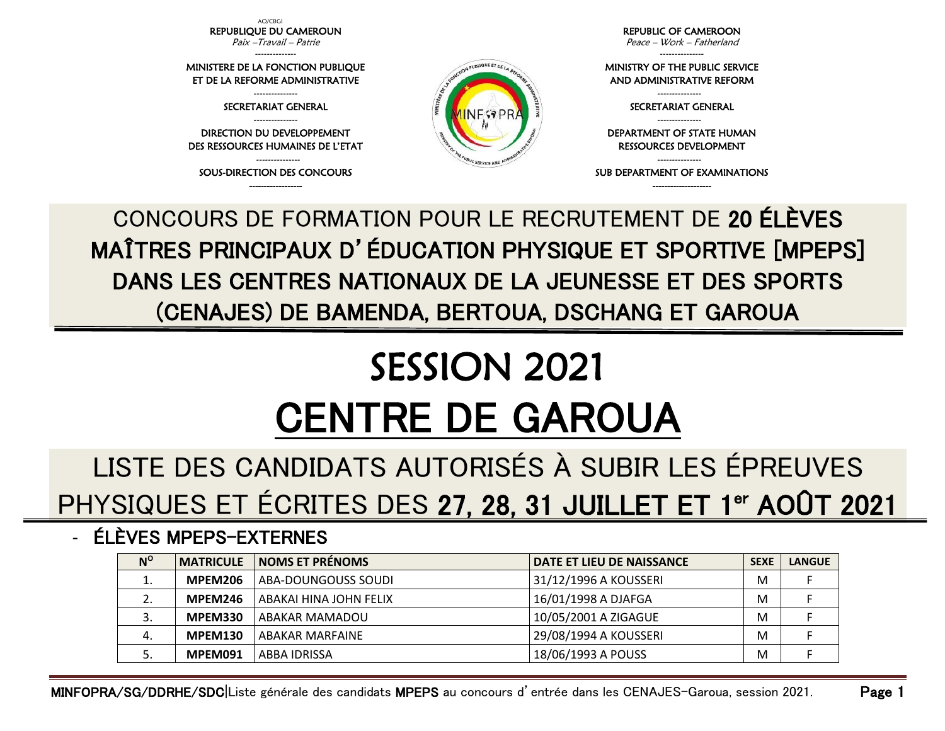AO/CBGI REPUBLIQUE DU CAMEROUN Paix –Travail – Patrie --------------

MINISTERE DE LA FONCTION PUBLIQUE ET DE LA REFORME ADMINISTRATIVE --------------- SECRETARIAT GENERAL --------------- DIRECTION DU DEVELOPPEMENT DES RESSOURCES HUMAINES DE L'ETAT --------------- SOUS-DIRECTION DES CONCOURS ------------------

REPUBLIC OF CAMEROON Peace – Work – Fatherland

--------------- MINISTRY OF THE PUBLIC SERVICE AND ADMINISTRATIVE REFORM

> --------------- SECRETARIAT GENERAL ---------------

DEPARTMENT OF STATE HUMAN RESSOURCES DEVELOPMENT

--------------- SUB DEPARTMENT OF EXAMINATIONS -------------------

CONCOURS DE FORMATION POUR LE RECRUTEMENT DE 20 ÉLÈVES MAÎTRES PRINCIPAUX D'ÉDUCATION PHYSIQUE ET SPORTIVE [MPEPS] DANS LES CENTRES NATIONAUX DE LA JEUNESSE ET DES SPORTS (CENAJES) DE BAMENDA, BERTOUA, DSCHANG ET GAROUA

PUBLIQUE ET DE

# SESSION 2021 CENTRE DE GAROUA

## LISTE DES CANDIDATS AUTORISÉS À SUBIR LES ÉPREUVES PHYSIQUES ET ÉCRITES DES 27, 28, 31 JUILLET ET 1<sup>er</sup> AOÛT 2021

#### - ÉLÈVES MPEPS-EXTERNES

| $N^{\rm o}$ | <b>MATRICULE</b> | <b>NOMS ET PRÉNOMS</b> | DATE ET LIEU DE NAISSANCE | <b>SEXE</b> | <b>LANGUE</b> |
|-------------|------------------|------------------------|---------------------------|-------------|---------------|
|             | MPEM206          | ABA-DOUNGOUSS SOUDI    | 31/12/1996 A KOUSSERI     | м           |               |
| <u>.</u>    | MPEM246          | ABAKAI HINA JOHN FELIX | 16/01/1998 A DJAFGA       | M           |               |
| э.          | <b>MPEM330</b>   | <b>ABAKAR MAMADOU</b>  | 10/05/2001 A ZIGAGUE      | M           |               |
| 4.          | <b>MPEM130</b>   | ABAKAR MARFAINE        | 29/08/1994 A KOUSSERI     | M           |               |
|             | MPEM091          | ABBA IDRISSA           | 18/06/1993 A POUSS        | M           |               |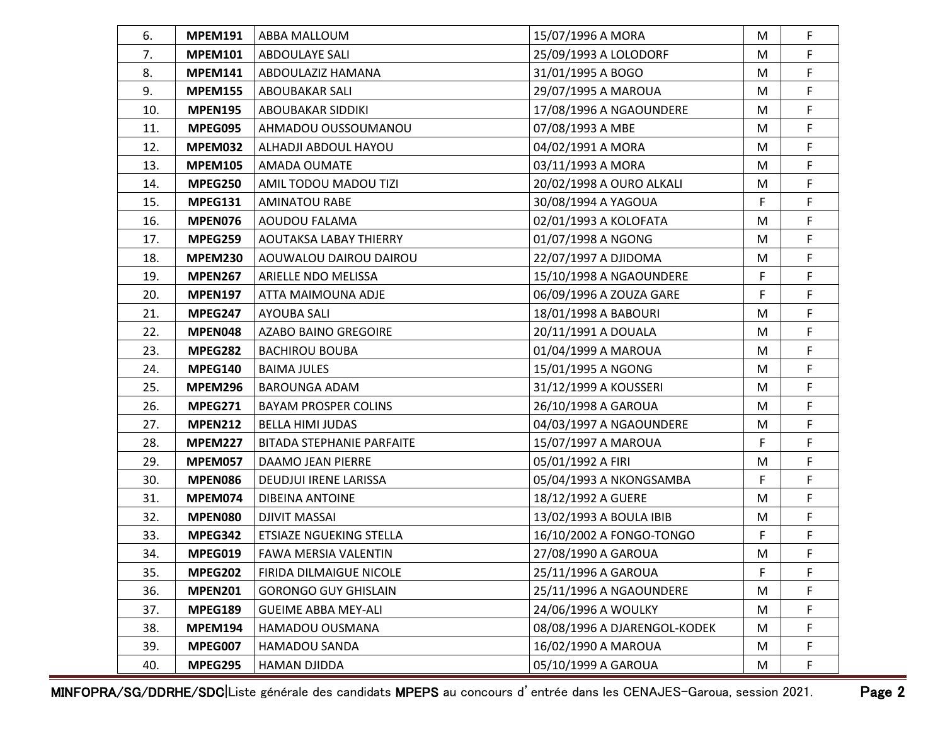| 6.  | <b>MPEM191</b> | ABBA MALLOUM                     | 15/07/1996 A MORA            | M | $\mathsf F$ |
|-----|----------------|----------------------------------|------------------------------|---|-------------|
| 7.  | <b>MPEM101</b> | ABDOULAYE SALI                   | 25/09/1993 A LOLODORF        | M | F           |
| 8.  | <b>MPEM141</b> | ABDOULAZIZ HAMANA                | 31/01/1995 A BOGO            | M | F           |
| 9.  | <b>MPEM155</b> | <b>ABOUBAKAR SALI</b>            | 29/07/1995 A MAROUA          | M | F           |
| 10. | <b>MPEN195</b> | ABOUBAKAR SIDDIKI                | 17/08/1996 A NGAOUNDERE      | M | F           |
| 11. | MPEG095        | AHMADOU OUSSOUMANOU              | 07/08/1993 A MBE             | M | F           |
| 12. | <b>MPEM032</b> | ALHADJI ABDOUL HAYOU             | 04/02/1991 A MORA            | M | F           |
| 13. | <b>MPEM105</b> | AMADA OUMATE                     | 03/11/1993 A MORA            | M | F.          |
| 14. | <b>MPEG250</b> | AMIL TODOU MADOU TIZI            | 20/02/1998 A OURO ALKALI     | M | F           |
| 15. | MPEG131        | <b>AMINATOU RABE</b>             | 30/08/1994 A YAGOUA          | F | F           |
| 16. | MPEN076        | AOUDOU FALAMA                    | 02/01/1993 A KOLOFATA        | M | F           |
| 17. | MPEG259        | <b>AOUTAKSA LABAY THIERRY</b>    | 01/07/1998 A NGONG           | M | F           |
| 18. | <b>MPEM230</b> | AOUWALOU DAIROU DAIROU           | 22/07/1997 A DJIDOMA         | M | F           |
| 19. | <b>MPEN267</b> | ARIELLE NDO MELISSA              | 15/10/1998 A NGAOUNDERE      | F | F           |
| 20. | <b>MPEN197</b> | ATTA MAIMOUNA ADJE               | 06/09/1996 A ZOUZA GARE      | F | F           |
| 21. | MPEG247        | <b>AYOUBA SALI</b>               | 18/01/1998 A BABOURI         | M | F           |
| 22. | MPEN048        | AZABO BAINO GREGOIRE             | 20/11/1991 A DOUALA          | M | F           |
| 23. | MPEG282        | <b>BACHIROU BOUBA</b>            | 01/04/1999 A MAROUA          | M | F           |
| 24. | MPEG140        | <b>BAIMA JULES</b>               | 15/01/1995 A NGONG           | M | F           |
| 25. | <b>MPEM296</b> | <b>BAROUNGA ADAM</b>             | 31/12/1999 A KOUSSERI        | M | F           |
| 26. | MPEG271        | <b>BAYAM PROSPER COLINS</b>      | 26/10/1998 A GAROUA          | M | F           |
| 27. | <b>MPEN212</b> | <b>BELLA HIMI JUDAS</b>          | 04/03/1997 A NGAOUNDERE      | M | F           |
| 28. | <b>MPEM227</b> | <b>BITADA STEPHANIE PARFAITE</b> | 15/07/1997 A MAROUA          | F | F           |
| 29. | <b>MPEM057</b> | DAAMO JEAN PIERRE                | 05/01/1992 A FIRI            | M | F           |
| 30. | <b>MPEN086</b> | DEUDJUI IRENE LARISSA            | 05/04/1993 A NKONGSAMBA      | F | F           |
| 31. | MPEM074        | <b>DIBEINA ANTOINE</b>           | 18/12/1992 A GUERE           | M | F           |
| 32. | <b>MPEN080</b> | <b>DJIVIT MASSAI</b>             | 13/02/1993 A BOULA IBIB      | M | F           |
| 33. | MPEG342        | ETSIAZE NGUEKING STELLA          | 16/10/2002 A FONGO-TONGO     | F | F           |
| 34. | MPEG019        | FAWA MERSIA VALENTIN             | 27/08/1990 A GAROUA          | M | F           |
| 35. | <b>MPEG202</b> | FIRIDA DILMAIGUE NICOLE          | 25/11/1996 A GAROUA          | F | F           |
| 36. | <b>MPEN201</b> | <b>GORONGO GUY GHISLAIN</b>      | 25/11/1996 A NGAOUNDERE      | M | F           |
| 37. | <b>MPEG189</b> | <b>GUEIME ABBA MEY-ALI</b>       | 24/06/1996 A WOULKY          | M | F           |
| 38. | <b>MPEM194</b> | HAMADOU OUSMANA                  | 08/08/1996 A DJARENGOL-KODEK | M | F           |
| 39. | MPEG007        | <b>HAMADOU SANDA</b>             | 16/02/1990 A MAROUA          | M | F           |
| 40. | <b>MPEG295</b> | HAMAN DJIDDA                     | 05/10/1999 A GAROUA          | M | F           |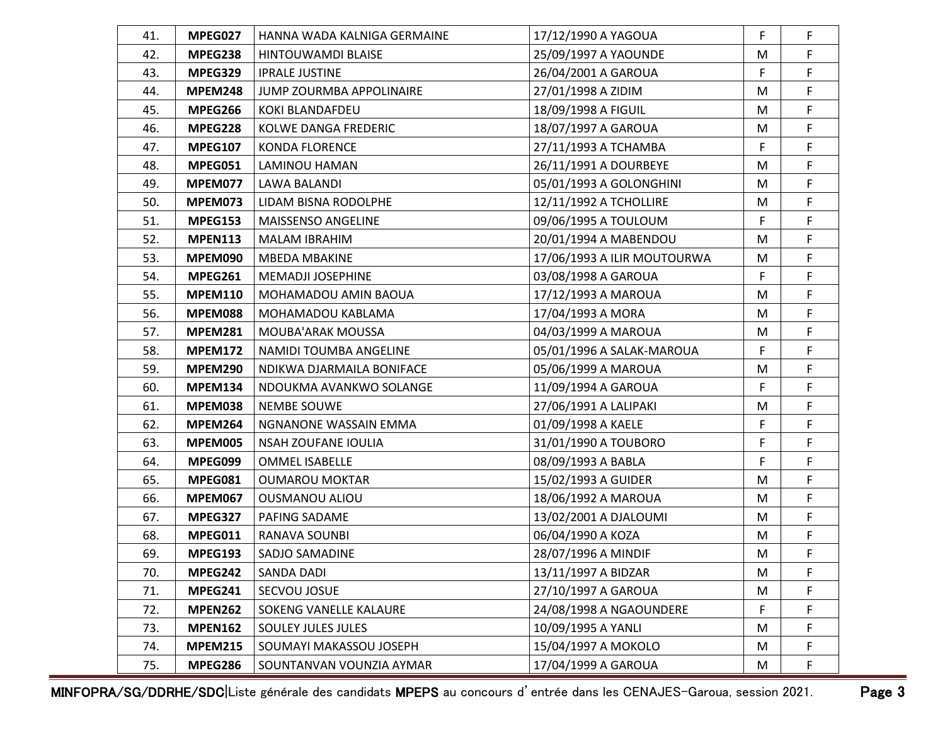| 41. | MPEG027        | HANNA WADA KALNIGA GERMAINE | 17/12/1990 A YAGOUA         | F  | $\mathsf F$ |
|-----|----------------|-----------------------------|-----------------------------|----|-------------|
| 42. | MPEG238        | HINTOUWAMDI BLAISE          | 25/09/1997 A YAOUNDE        | M  | F           |
| 43. | MPEG329        | <b>IPRALE JUSTINE</b>       | 26/04/2001 A GAROUA         | F  | F           |
| 44. | <b>MPEM248</b> | JUMP ZOURMBA APPOLINAIRE    | 27/01/1998 A ZIDIM          | M  | F           |
| 45. | MPEG266        | KOKI BLANDAFDEU             | 18/09/1998 A FIGUIL         | M  | F           |
| 46. | MPEG228        | KOLWE DANGA FREDERIC        | 18/07/1997 A GAROUA         | M  | F           |
| 47. | <b>MPEG107</b> | <b>KONDA FLORENCE</b>       | 27/11/1993 A TCHAMBA        | F  | F           |
| 48. | MPEG051        | LAMINOU HAMAN               | 26/11/1991 A DOURBEYE       | M  | F           |
| 49. | MPEM077        | <b>LAWA BALANDI</b>         | 05/01/1993 A GOLONGHINI     | M  | F           |
| 50. | MPEM073        | LIDAM BISNA RODOLPHE        | 12/11/1992 A TCHOLLIRE      | M  | F           |
| 51. | <b>MPEG153</b> | MAISSENSO ANGELINE          | 09/06/1995 A TOULOUM        | F  | F           |
| 52. | <b>MPEN113</b> | <b>MALAM IBRAHIM</b>        | 20/01/1994 A MABENDOU       | M  | F           |
| 53. | <b>MPEM090</b> | <b>MBEDA MBAKINE</b>        | 17/06/1993 A ILIR MOUTOURWA | M  | F           |
| 54. | MPEG261        | MEMADJI JOSEPHINE           | 03/08/1998 A GAROUA         | F  | F           |
| 55. | <b>MPEM110</b> | MOHAMADOU AMIN BAOUA        | 17/12/1993 A MAROUA         | M  | F           |
| 56. | <b>MPEM088</b> | MOHAMADOU KABLAMA           | 17/04/1993 A MORA           | M  | F           |
| 57. | <b>MPEM281</b> | MOUBA'ARAK MOUSSA           | 04/03/1999 A MAROUA         | M  | F           |
| 58. | <b>MPEM172</b> | NAMIDI TOUMBA ANGELINE      | 05/01/1996 A SALAK-MAROUA   | F  | F           |
| 59. | <b>MPEM290</b> | NDIKWA DJARMAILA BONIFACE   | 05/06/1999 A MAROUA         | M  | F           |
| 60. | <b>MPEM134</b> | NDOUKMA AVANKWO SOLANGE     | 11/09/1994 A GAROUA         | F  | F           |
| 61. | <b>MPEM038</b> | <b>NEMBE SOUWE</b>          | 27/06/1991 A LALIPAKI       | M  | F           |
| 62. | <b>MPEM264</b> | NGNANONE WASSAIN EMMA       | 01/09/1998 A KAELE          | F  | F           |
| 63. | <b>MPEM005</b> | NSAH ZOUFANE IOULIA         | 31/01/1990 A TOUBORO        | F  | F           |
| 64. | MPEG099        | <b>OMMEL ISABELLE</b>       | 08/09/1993 A BABLA          | F  | F           |
| 65. | MPEG081        | <b>OUMAROU MOKTAR</b>       | 15/02/1993 A GUIDER         | M  | F           |
| 66. | <b>MPEM067</b> | <b>OUSMANOU ALIOU</b>       | 18/06/1992 A MAROUA         | M  | F           |
| 67. | MPEG327        | PAFING SADAME               | 13/02/2001 A DJALOUMI       | M  | F           |
| 68. | MPEG011        | RANAVA SOUNBI               | 06/04/1990 A KOZA           | M  | F           |
| 69. | MPEG193        | SADJO SAMADINE              | 28/07/1996 A MINDIF         | M  | F           |
| 70. | MPEG242        | SANDA DADI                  | 13/11/1997 A BIDZAR         | M  | F           |
| 71. | MPEG241        | SECVOU JOSUE                | 27/10/1997 A GAROUA         | M  | F           |
| 72. | <b>MPEN262</b> | SOKENG VANELLE KALAURE      | 24/08/1998 A NGAOUNDERE     | F. | F           |
| 73. | <b>MPEN162</b> | <b>SOULEY JULES JULES</b>   | 10/09/1995 A YANLI          | M  | F           |
| 74. | <b>MPEM215</b> | SOUMAYI MAKASSOU JOSEPH     | 15/04/1997 A MOKOLO         | M  | F           |
| 75. | <b>MPEG286</b> | SOUNTANVAN VOUNZIA AYMAR    | 17/04/1999 A GAROUA         | M  | F           |